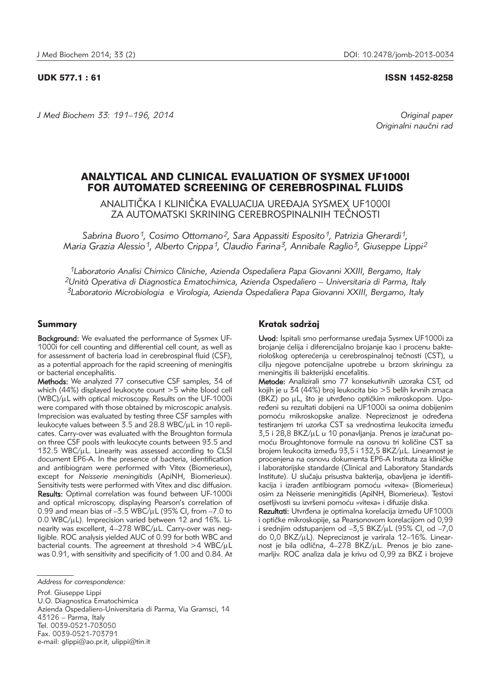#### UDK 577.1 : 61 ISSN 1452-8258

*J Med Biochem 33: 191–196, 2014 Original paper*

Originalni naučni rad

# ANALYTICAL AND CLINICAL EVALUATION OF SYSMEX UF1000I FOR AUTOMATED SCREENING OF CEREBROSPINAL FLUIDS

ANALITIČKA I KLINIČKA EVALUACIJA UREĐAJA SYSMEX UF1000I ZA AUTOMATSKI SKRINING CEREBROSPINALNIH TEČNOSTI

Sabrina Buoro<sup>1</sup>, Cosimo Ottomano<sup>2</sup>, Sara Appassiti Esposito<sup>1</sup>, Patrizia Gherardi<sup>1</sup>, *Maria Grazia Alessio1, Alberto Crippa1, Claudio Farina3, Annibale Raglio3, Giuseppe Lippi2*

*1Laboratorio Analisi Chimico Cliniche, Azienda Ospedaliera Papa Giovanni XXIII, Bergamo, Italy 2Unità Operativa di Diagnostica Ematochimica, Azienda Ospedaliero – Universitaria di Parma, Italy 3Laboratorio Microbiologia e Virologia, Azienda Ospedaliera Papa Giovanni XXIII, Bergamo, Italy*

### Summary

Background: We evaluated the performance of Sysmex UF-1000i for cell counting and differential cell count, as well as for assessment of bacteria load in cerebrospinal fluid (CSF), as a potential approach for the rapid screening of meningitis or bacterial encephalitis.

Methods: We analyzed 77 consecutive CSF samples, 34 of which (44%) displayed leukocyte count >5 white blood cell  $(WBC)/\mu L$  with optical microscopy. Results on the UF-1000i were compared with those obtained by microscopic analysis. Imprecision was evaluated by testing three CSF samples with leukocyte values between 3.5 and 28.8 WBC/ $\mu$ L in 10 replicates. Carry-over was evaluated with the Broughton formula on three CSF pools with leukocyte counts between 93.5 and  $132.5$  WBC/ $\mu$ L. Linearity was assessed according to CLSI document EP6-A. In the presence of bacteria, identification and antibiogram were performed with Vitex (Biomerieux), except for *Neisserie meningitidis* (ApiNH, Biomerieux). Sensitivity tests were performed with Vitex and disc diffusion. Results: Optimal correlation was found between UF-1000i and optical microscopy, displaying Pearson's correlation of 0.99 and mean bias of  $-3.5$  WBC/ $\mu$ L (95% CI, from  $-7.0$  to  $0.0$  WBC/ $\mu$ L). Imprecision varied between 12 and 16%. Linearity was excellent,  $4-278$  WBC/ $\mu$ L. Carry-over was negligible. ROC analysis yielded AUC of 0.99 for both WBC and bacterial counts. The agreement at threshold  $>4$  WBC/ $\mu$ L was 0.91, with sensitivity and specificity of 1.00 and 0.84. At

Prof. Giuseppe Lippi U.O. Diagnostica Ematochimica Azienda Ospedaliero-Universitaria di Parma, Via Gramsci, 14 43126 – Parma, Italy Tel. 0039-0521-703050 Fax. 0039-0521-703791 e-mail: glippi@ao.pr.it, ulippi@tin.it

# Kratak sadržaj

Uvod: Ispitali smo performanse uređaja Sysmex UF1000i za brojanje ćelija i diferencijalno brojanje kao i procenu bakteriološkog opterećenja u cerebrospinalnoj tečnosti (CST), u cilju njegove potencijalne upotrebe u brzom skriningu za meningitis ili bakterijski encefalitis.

Metode: Analizirali smo 77 konsekutivnih uzoraka CST, od kojih je u 34 (44%) broj leukocita bio >5 belih krvnih zrnaca (BKZ) po µL, što je utvrđeno optičkim mikroskopom. Upoređeni su rezultati dobijeni na UF1000i sa onima dobijenim pomoću mikroskopske analize. Nepreciznost je određena testiranjem tri uzorka CST sa vrednostima leukocita između 3,5 i 28,8 BKZ/µL u 10 ponavljanja. Prenos je izračunat pomoću Broughtonove formule na osnovu tri količine CST sa brojem leukocita između 93,5 i 132,5 BKZ/uL. Linearnost je procenjena na osnovu dokumenta EP6-A Instituta za kliničke i laboratorijske standarde (Clinical and Laboratory Standards Institute). U slučaju prisustva bakterija, obavljena je identifikacija i izrađen antibiogram pomoću »vitexa« (Biomerieux) osim za Neisserie meningitidis (ApiNH, Biomerieux). Testovi osetljivosti su izvršeni pomoću »vitexa« i difuzije diska.

Rezultati: Utvrđena je optimalna korelacija između UF1000i i optičke mikroskopije, sa Pearsonovom korelacijom od 0,99 i srednjim odstupanjem od  $-3.5$  BKZ/ $\mu$ L (95% CI, od  $-7.0$ do 0,0 BKZ/ $\mu$ L). Nepreciznost je varirala 12–16%. Linearnost je bila odlična, 4–278 BKZ/µL. Prenos je bio zanemarljiv. ROC analiza dala je krivu od 0,99 za BKZ i brojeve

*Address for correspondence:*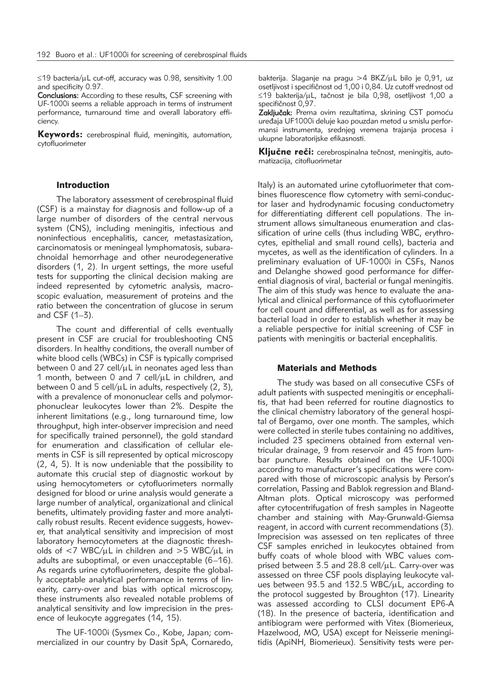≤19 bacteria/µL cut-off, accuracy was 0.98, sensitivity 1.00 and specificity 0.97.

Conclusions: According to these results, CSF screening with UF-1000i seems a reliable approach in terms of instrument performance, turnaround time and overall laboratory efficiency.

Keywords: cerebrospinal fluid, meningitis, automation, cytofluorimeter

#### Introduction

The laboratory assessment of cerebrospinal fluid (CSF) is a mainstay for diagnosis and follow-up of a large number of disorders of the central nervous system (CNS), including meningitis, infectious and noninfectious encephalitis, cancer, metastasization, carcinomatosis or meningeal lymphomatosis, subarachnoidal hemorrhage and other neurodegenerative disorders (1, 2). In urgent settings, the more useful tests for supporting the clinical decision making are indeed represented by cytometric analysis, macroscopic evaluation, measurement of proteins and the ratio between the concentration of glucose in serum and CSF (1–3).

The count and differential of cells eventually present in CSF are crucial for troubleshooting CNS disorders. In healthy conditions, the overall number of white blood cells (WBCs) in CSF is typically comprised between 0 and 27 cell/ $\mu$ L in neonates aged less than 1 month, between 0 and 7 cell/ $\mu$ L in children, and between 0 and 5 cell/ $\mu$ L in adults, respectively (2, 3), with a prevalence of mononuclear cells and polymorphonuclear leukocytes lower than 2%. Despite the inherent limitations (e.g., long turnaround time, low throughput, high inter-observer imprecision and need for specifically trained personnel), the gold standard for enumeration and classification of cellular elements in CSF is sill represented by optical microscopy (2, 4, 5). It is now undeniable that the possibility to automate this crucial step of diagnostic workout by using hemocytometers or cytofluorimeters normally designed for blood or urine analysis would generate a large number of analytical, organizational and clinical benefits, ultimately providing faster and more analytically robust results. Recent evidence suggests, however, that analytical sensitivity and imprecision of most laboratory hemocytometers at the diagnostic thresholds of  $<$ 7 WBC/ $\mu$ L in children and  $>$ 5 WBC/ $\mu$ L in adults are suboptimal, or even unacceptable (6–16). As regards urine cytofluorimeters, despite the globally acceptable analytical performance in terms of linearity, carry-over and bias with optical microscopy, these instruments also revealed notable problems of analytical sensitivity and low imprecision in the presence of leukocyte aggregates (14, 15).

The UF-1000i (Sysmex Co., Kobe, Japan; commercialized in our country by Dasit SpA, Cornaredo,

bakterija. Slaganje na pragu >4 BKZ/uL bilo je 0.91, uz osetljivost i specifičnost od 1,00 i 0,84. Uz cutoff vrednost od ≤19 bakterija/µL, tačnost je bila 0,98, osetljivost 1,00 a specifičnost 0,97.

Zaključak: Prema ovim rezultatima, skrining CST pomoću uređaja UF1000i deluje kao pouzdan metod u smislu performansi instrumenta, srednjeg vremena trajanja procesa i ukupne laboratorijske efikasnosti.

Ključne reči: cerebrospinalna tečnost, meningitis, automatizacija, citofluorimetar

Italy) is an automated urine cytofluorimeter that combines fluorescence flow cytometry with semi-conductor laser and hydrodynamic focusing conductometry for differentiating different cell populations. The instrument allows simultaneous enumeration and classification of urine cells (thus including WBC, erythrocytes, epithelial and small round cells), bacteria and mycetes, as well as the identification of cylinders. In a preliminary evaluation of UF-1000i in CSFs, Nanos and Delanghe showed good performance for differential diagnosis of viral, bacterial or fungal meningitis. The aim of this study was hence to evaluate the analytical and clinical performance of this cytofluorimeter for cell count and differential, as well as for assessing bacterial load in order to establish whether it may be a reliable perspective for initial screening of CSF in patients with meningitis or bacterial encephalitis.

#### Materials and Methods

The study was based on all consecutive CSFs of adult patients with suspected meningitis or encephalitis, that had been referred for routine diagnostics to the clinical chemistry laboratory of the general hospital of Bergamo, over one month. The samples, which were collected in sterile tubes containing no additives, included 23 specimens obtained from external ventricular drainage, 9 from reservoir and 45 from lumbar puncture. Results obtained on the UF-1000i according to manufacturer's specifications were compared with those of microscopic analysis by Person's correlation, Passing and Bablok regression and Bland-Altman plots. Optical microscopy was performed after cytocentrifugation of fresh samples in Nageotte chamber and staining with May-Grunwald-Giemsa reagent, in accord with current recommendations (3). Imprecision was assessed on ten replicates of three CSF samples enriched in leukocytes obtained from buffy coats of whole blood with WBC values comprised between 3.5 and 28.8 cell/ $\mu$ L. Carry-over was assessed on three CSF pools displaying leukocyte values between  $93.5$  and  $132.5$  WBC/ $\mu$ L, according to the protocol suggested by Broughton (17). Linearity was assessed according to CLSI document EP6-A (18). In the presence of bacteria, identification and antibiogram were performed with Vitex (Biomerieux, Hazelwood, MO, USA) except for Neisserie meningitidis (ApiNH, Biomerieux). Sensitivity tests were per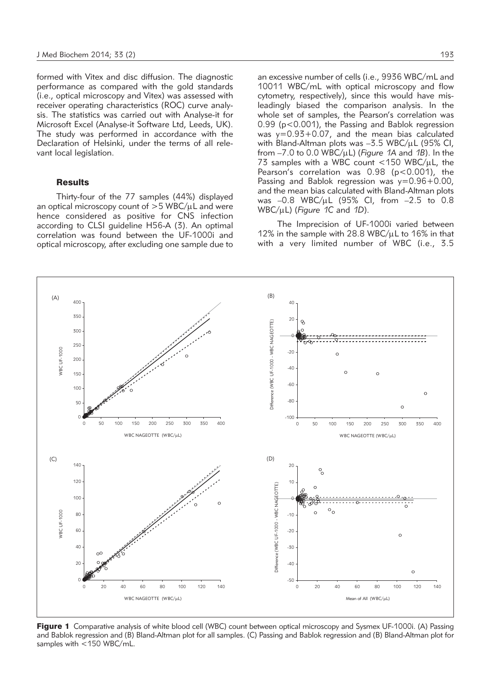formed with Vitex and disc diffusion. The diagnostic performance as compared with the gold standards (i.e., optical microscopy and Vitex) was assessed with receiver operating characteristics (ROC) curve analysis. The statistics was carried out with Analyse-it for Microsoft Excel (Analyse-it Software Ltd, Leeds, UK). The study was performed in accordance with the Declaration of Helsinki, under the terms of all relevant local legislation.

#### **Results**

Thirty-four of the 77 samples (44%) displayed an optical microscopy count of  $>5$  WBC/ $\mu$ L and were hence considered as positive for CNS infection according to CLSI guideline H56-A (3). An optimal correlation was found between the UF-1000i and optical microscopy, after excluding one sample due to an excessive number of cells (i.e., 9936 WBC/mL and 10011 WBC/mL with optical microscopy and flow cytometry, respectively), since this would have misleadingly biased the comparison analysis. In the whole set of samples, the Pearson's correlation was 0.99 (p<0.001), the Passing and Bablok regression was y=0.93+0.07, and the mean bias calculated with Bland-Altman plots was  $-3.5$  WBC/ $\mu$ L (95% CI, from  $-7.0$  to 0.0 WBC/uL) (*Figure 1A* and *1B*). In the 73 samples with a WBC count  $\langle$  150 WBC/ $\mu$ L, the Pearson's correlation was  $0.98$  ( $p < 0.001$ ), the Passing and Bablok regression was  $y=0.96+0.00$ , and the mean bias calculated with Bland-Altman plots was  $-0.8$  WBC/ $\mu$ L (95% CI, from  $-2.5$  to 0.8 WBC/mL) (*Figure 1C* and *1D*).

The Imprecision of UF-1000i varied between 12% in the sample with 28.8 WBC/ $\mu$ L to 16% in that with a very limited number of WBC (i.e., 3.5



Figure 1 Comparative analysis of white blood cell (WBC) count between optical microscopy and Sysmex UF-1000i. (A) Passing and Bablok regression and (B) Bland-Altman plot for all samples. (C) Passing and Bablok regression and (B) Bland-Altman plot for samples with <150 WBC/mL.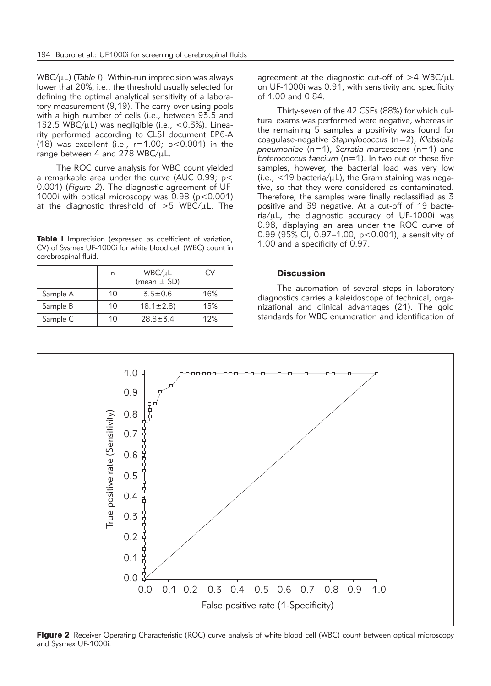WBC/µL) (*Table I*). Within-run imprecision was always lower that 20%, i.e., the threshold usually selected for defining the optimal analytical sensitivity of a laboratory measurement (9,19). The carry-over using pools with a high number of cells (i.e., between 93.5 and 132.5 WBC/ $\mu$ L) was negligible (i.e., <0.3%). Linearity performed according to CLSI document EP6-A (18) was excellent (i.e.,  $r=1.00$ ;  $p<0.001$ ) in the range between 4 and 278 WBC/ $\mu$ L.

The ROC curve analysis for WBC count yielded a remarkable area under the curve (AUC 0.99; p< 0.001) (*Figure 2*). The diagnostic agreement of UF-1000i with optical microscopy was 0.98 (p<0.001) at the diagnostic threshold of  $>5$  WBC/uL. The

Table I Imprecision (expressed as coefficient of variation, CV) of Sysmex UF-1000i for white blood cell (WBC) count in cerebrospinal fluid.

|          | n  | WBC/µL<br>(mean $\pm$ SD) | Cν  |
|----------|----|---------------------------|-----|
| Sample A | 10 | $3.5 \pm 0.6$             | 16% |
| Sample B | 10 | $18.1 \pm 2.8$            | 15% |
| Sample C | 10 | $28.8 \pm 5.4$            | 12% |

agreement at the diagnostic cut-off of  $>4$  WBC/ $\mu$ L on UF-1000i was 0.91, with sensitivity and specificity of 1.00 and 0.84.

Thirty-seven of the 42 CSFs (88%) for which cultural exams was performed were negative, whereas in the remaining 5 samples a positivity was found for coagulase-negative *Staphylococcus* (n=2), *Kleb siella pneumoniae* (n=1), *Serratia marcescens* (n=1) and *Enterococcus faecium* (n=1). In two out of these five samples, however, the bacterial load was very low  $(i.e., < 19$  bacteria/ $\mu$ L), the Gram staining was negative, so that they were considered as contaminated. Therefore, the samples were finally reclassified as 3 positive and 39 negative. At a cut-off of 19 bacte $ria/µ$ L, the diagnostic accuracy of UF-1000i was 0.98, displaying an area under the ROC curve of 0.99 (95% CI, 0.97–1.00; p<0.001), a sensitivity of 1.00 and a specificity of 0.97.

# **Discussion**

The automation of several steps in laboratory diagnostics carries a kaleidoscope of technical, organizational and clinical advantages (21). The gold standards for WBC enumeration and identification of



Figure 2 Receiver Operating Characteristic (ROC) curve analysis of white blood cell (WBC) count between optical microscopy and Sysmex UF-1000i.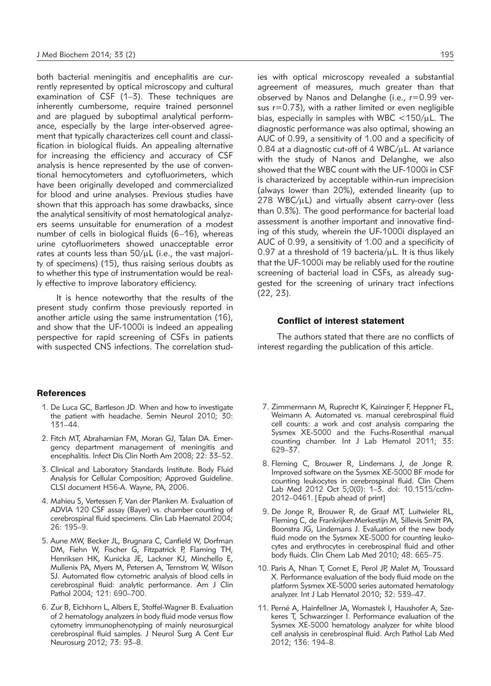both bacterial meningitis and encephalitis are currently represented by optical microscopy and cultural examination of CSF (1–3). These techniques are inherently cumbersome, require trained personnel and are plagued by suboptimal analytical performance, especially by the large inter-observed agreement that typically characterizes cell count and classification in biological fluids. An appealing alternative for increasing the efficiency and accuracy of CSF analysis is hence represented by the use of conventional hemocytometers and cytofluorimeters, which have been originally developed and commercialized for blood and urine analyses. Previous studies have shown that this approach has some drawbacks, since the analytical sensitivity of most hematological analyzers seems unsuitable for enumeration of a modest number of cells in biological fluids (6–16), whereas urine cytofluorimeters showed unacceptable error rates at counts less than  $50/\mu$ L (i.e., the vast majority of specimens) (15), thus raising serious doubts as to whether this type of instrumentation would be really effective to improve laboratory efficiency.

It is hence noteworthy that the results of the present study confirm those previously reported in another article using the same instrumentation (16), and show that the UF-1000i is indeed an appealing perspective for rapid screening of CSFs in patients with suspected CNS infections. The correlation stud-

#### References

- 1. De Luca GC, Bartleson JD. When and how to investigate the patient with headache. Semin Neurol 2010; 30: 131–44.
- 2. Fitch MT, Abrahamian FM, Moran GJ, Talan DA. Emergency department management of meningitis and encephalitis. Infect Dis Clin North Am 2008; 22: 33-52.
- 3. Clinical and Laboratory Standards Institute. Body Fluid Analysis for Cellular Composition; Approved Guideline. CLSI document H56-A. Wayne, PA, 2006.
- 4. Mahieu S, Vertessen F, Van der Planken M. Evaluation of ADVIA 120 CSF assay (Bayer) vs. chamber counting of cerebrospinal fluid specimens. Clin Lab Haematol 2004; 26: 195–9.
- 5. Aune MW, Becker JL, Brugnara C, Canfield W, Dorfman DM, Fiehn W, Fischer G, Fitzpatrick P, Flaming TH, Henriksen HK, Kunicka JE, Lackner KJ, Minchello E, Mullenix PA, Myers M, Petersen A, Ternstrom W, Wilson SJ. Automated flow cytometric analysis of blood cells in cerebrospinal fluid: analytic performance. Am J Clin Pathol 2004; 121: 690–700.
- 6. Zur B, Eichhorn L, Albers E, Stoffel-Wagner B. Evaluation of 2 hematology analyzers in body fluid mode versus flow cytometry immunophenotyping of mainly neurosurgical cerebrospinal fluid samples. J Neurol Surg A Cent Eur Neurosurg 2012; 73: 93–8.

ies with optical microscopy revealed a substantial agreement of measures, much greater than that observed by Nanos and Delanghe (i.e., r=0.99 versus r=0.73), with a rather limited or even negligible bias, especially in samples with WBC  $<$ 150/ $\mu$ L. The diagnostic performance was also optimal, showing an AUC of 0.99, a sensitivity of 1.00 and a specificity of  $0.84$  at a diagnostic cut-off of 4 WBC/ $\mu$ L. At variance with the study of Nanos and Delanghe, we also showed that the WBC count with the UF-1000i in CSF is characterized by acceptable within-run imprecision (always lower than 20%), extended linearity (up to  $278$  WBC/ $\mu$ L) and virtually absent carry-over (less than 0.3%). The good performance for bacterial load assessment is another important and innovative finding of this study, wherein the UF-1000i displayed an AUC of 0.99, a sensitivity of 1.00 and a specificity of 0.97 at a threshold of 19 bacteria/ $\mu$ L. It is thus likely that the UF-1000i may be reliably used for the routine screening of bacterial load in CSFs, as already suggested for the screening of urinary tract infections (22, 23).

## Conflict of interest statement

The authors stated that there are no conflicts of interest regarding the publication of this article.

- 7. Zimmermann M, Ruprecht K, Kainzinger F, Heppner FL, Weimann A. Automated vs. manual cerebrospinal fluid cell counts: a work and cost analysis comparing the Sysmex XE-5000 and the Fuchs-Rosenthal manual counting chamber. Int J Lab Hematol 2011; 33: 629–37.
- 8. Fleming C, Brouwer R, Lindemans J, de Jonge R. Improved software on the Sysmex XE-5000 BF mode for counting leukocytes in cerebrospinal fluid. Clin Chem Lab Med 2012 Oct 5;0(0): 1–3. doi: 10.1515/cclm-2012–0461. [Epub ahead of print]
- 9. De Jonge R, Brouwer R, de Graaf MT, Luitwieler RL, Fleming C, de Frankrijker-Merkestijn M, Sillevis Smitt PA, Boonstra JG, Lindemans J. Evaluation of the new body fluid mode on the Sysmex XE-5000 for counting leukocytes and erythrocytes in cerebrospinal fluid and other body fluids. Clin Chem Lab Med 2010; 48: 665–75.
- 10. Paris A, Nhan T, Cornet E, Perol JP, Malet M, Troussard X. Performance evaluation of the body fluid mode on the platform Sysmex XE-5000 series automated hematology analyzer. Int J Lab Hematol 2010; 32: 539–47.
- 11. Perné A, Hainfellner JA, Womastek I, Haushofer A, Szekeres T, Schwarzinger I. Performance evaluation of the Sysmex XE-5000 hematology analyzer for white blood cell analysis in cerebrospinal fluid. Arch Pathol Lab Med 2012; 136: 194–8.